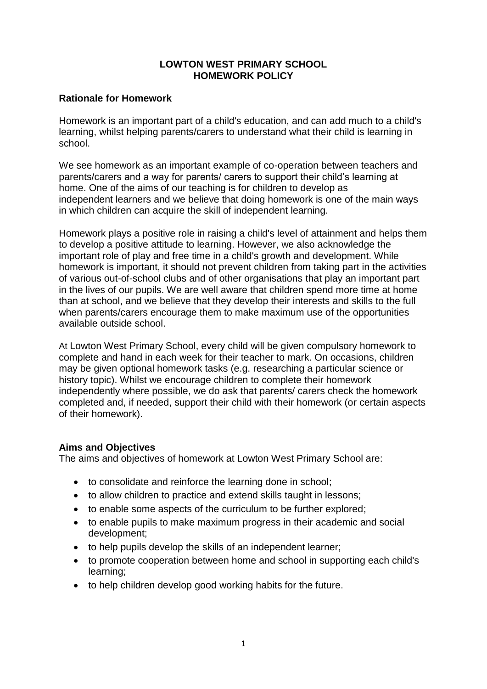### **LOWTON WEST PRIMARY SCHOOL HOMEWORK POLICY**

# **Rationale for Homework**

Homework is an important part of a child's education, and can add much to a child's learning, whilst helping parents/carers to understand what their child is learning in school.

We see homework as an important example of co-operation between teachers and parents/carers and a way for parents/ carers to support their child's learning at home. One of the aims of our teaching is for children to develop as independent learners and we believe that doing homework is one of the main ways in which children can acquire the skill of independent learning.

Homework plays a positive role in raising a child's level of attainment and helps them to develop a positive attitude to learning. However, we also acknowledge the important role of play and free time in a child's growth and development. While homework is important, it should not prevent children from taking part in the activities of various out-of-school clubs and of other organisations that play an important part in the lives of our pupils. We are well aware that children spend more time at home than at school, and we believe that they develop their interests and skills to the full when parents/carers encourage them to make maximum use of the opportunities available outside school.

At Lowton West Primary School, every child will be given compulsory homework to complete and hand in each week for their teacher to mark. On occasions, children may be given optional homework tasks (e.g. researching a particular science or history topic). Whilst we encourage children to complete their homework independently where possible, we do ask that parents/ carers check the homework completed and, if needed, support their child with their homework (or certain aspects of their homework).

### **Aims and Objectives**

The aims and objectives of homework at Lowton West Primary School are:

- to consolidate and reinforce the learning done in school;
- to allow children to practice and extend skills taught in lessons;
- to enable some aspects of the curriculum to be further explored;
- to enable pupils to make maximum progress in their academic and social development;
- to help pupils develop the skills of an independent learner;
- to promote cooperation between home and school in supporting each child's learning;
- to help children develop good working habits for the future.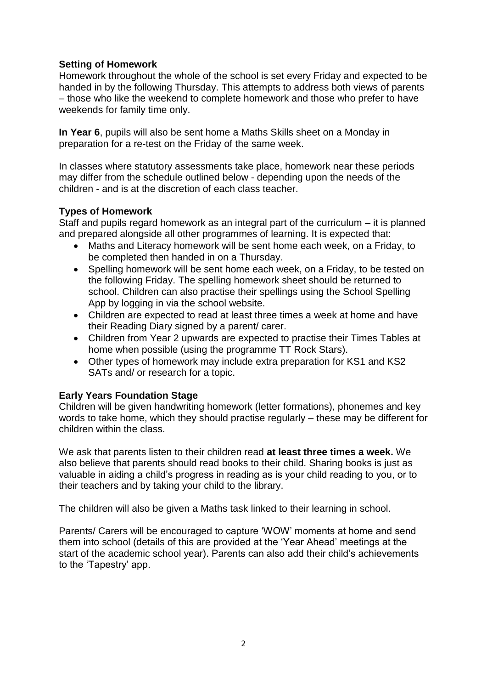# **Setting of Homework**

Homework throughout the whole of the school is set every Friday and expected to be handed in by the following Thursday. This attempts to address both views of parents – those who like the weekend to complete homework and those who prefer to have weekends for family time only.

**In Year 6**, pupils will also be sent home a Maths Skills sheet on a Monday in preparation for a re-test on the Friday of the same week.

In classes where statutory assessments take place, homework near these periods may differ from the schedule outlined below - depending upon the needs of the children - and is at the discretion of each class teacher.

### **Types of Homework**

Staff and pupils regard homework as an integral part of the curriculum – it is planned and prepared alongside all other programmes of learning. It is expected that:

- Maths and Literacy homework will be sent home each week, on a Friday, to be completed then handed in on a Thursday.
- Spelling homework will be sent home each week, on a Friday, to be tested on the following Friday. The spelling homework sheet should be returned to school. Children can also practise their spellings using the School Spelling App by logging in via the school website.
- Children are expected to read at least three times a week at home and have their Reading Diary signed by a parent/ carer.
- Children from Year 2 upwards are expected to practise their Times Tables at home when possible (using the programme TT Rock Stars).
- Other types of homework may include extra preparation for KS1 and KS2 SATs and/ or research for a topic.

# **Early Years Foundation Stage**

Children will be given handwriting homework (letter formations), phonemes and key words to take home, which they should practise regularly – these may be different for children within the class.

We ask that parents listen to their children read **at least three times a week.** We also believe that parents should read books to their child. Sharing books is just as valuable in aiding a child's progress in reading as is your child reading to you, or to their teachers and by taking your child to the library.

The children will also be given a Maths task linked to their learning in school.

Parents/ Carers will be encouraged to capture 'WOW' moments at home and send them into school (details of this are provided at the 'Year Ahead' meetings at the start of the academic school year). Parents can also add their child's achievements to the 'Tapestry' app.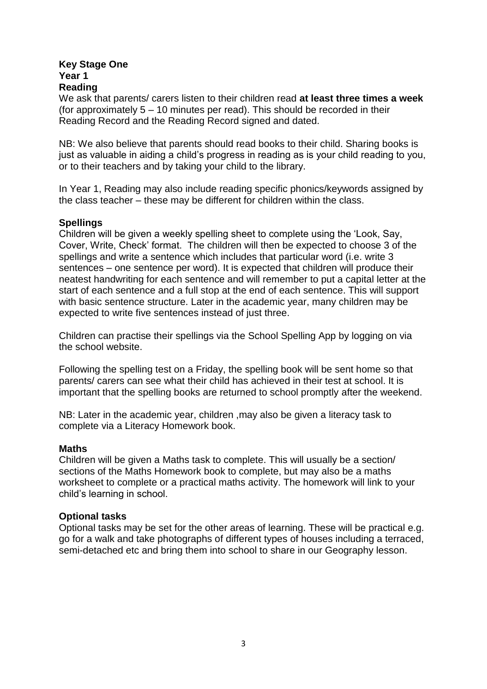#### **Key Stage One Year 1 Reading**

We ask that parents/ carers listen to their children read **at least three times a week** (for approximately 5 – 10 minutes per read). This should be recorded in their Reading Record and the Reading Record signed and dated.

NB: We also believe that parents should read books to their child. Sharing books is just as valuable in aiding a child's progress in reading as is your child reading to you, or to their teachers and by taking your child to the library.

In Year 1, Reading may also include reading specific phonics/keywords assigned by the class teacher – these may be different for children within the class.

### **Spellings**

Children will be given a weekly spelling sheet to complete using the 'Look, Say, Cover, Write, Check' format. The children will then be expected to choose 3 of the spellings and write a sentence which includes that particular word (i.e. write 3 sentences – one sentence per word). It is expected that children will produce their neatest handwriting for each sentence and will remember to put a capital letter at the start of each sentence and a full stop at the end of each sentence. This will support with basic sentence structure. Later in the academic year, many children may be expected to write five sentences instead of just three.

Children can practise their spellings via the School Spelling App by logging on via the school website.

Following the spelling test on a Friday, the spelling book will be sent home so that parents/ carers can see what their child has achieved in their test at school. It is important that the spelling books are returned to school promptly after the weekend.

NB: Later in the academic year, children ,may also be given a literacy task to complete via a Literacy Homework book.

### **Maths**

Children will be given a Maths task to complete. This will usually be a section/ sections of the Maths Homework book to complete, but may also be a maths worksheet to complete or a practical maths activity. The homework will link to your child's learning in school.

### **Optional tasks**

Optional tasks may be set for the other areas of learning. These will be practical e.g. go for a walk and take photographs of different types of houses including a terraced, semi-detached etc and bring them into school to share in our Geography lesson.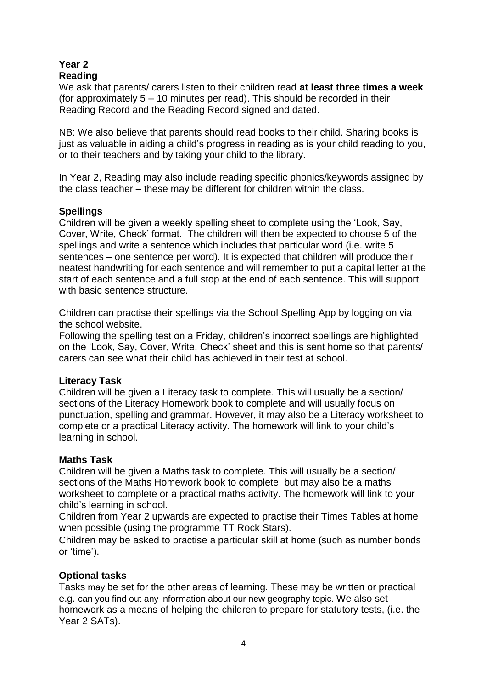# **Year 2 Reading**

We ask that parents/ carers listen to their children read **at least three times a week** (for approximately 5 – 10 minutes per read). This should be recorded in their Reading Record and the Reading Record signed and dated.

NB: We also believe that parents should read books to their child. Sharing books is just as valuable in aiding a child's progress in reading as is your child reading to you, or to their teachers and by taking your child to the library.

In Year 2, Reading may also include reading specific phonics/keywords assigned by the class teacher – these may be different for children within the class.

### **Spellings**

Children will be given a weekly spelling sheet to complete using the 'Look, Say, Cover, Write, Check' format. The children will then be expected to choose 5 of the spellings and write a sentence which includes that particular word (i.e. write 5 sentences – one sentence per word). It is expected that children will produce their neatest handwriting for each sentence and will remember to put a capital letter at the start of each sentence and a full stop at the end of each sentence. This will support with basic sentence structure.

Children can practise their spellings via the School Spelling App by logging on via the school website.

Following the spelling test on a Friday, children's incorrect spellings are highlighted on the 'Look, Say, Cover, Write, Check' sheet and this is sent home so that parents/ carers can see what their child has achieved in their test at school.

### **Literacy Task**

Children will be given a Literacy task to complete. This will usually be a section/ sections of the Literacy Homework book to complete and will usually focus on punctuation, spelling and grammar. However, it may also be a Literacy worksheet to complete or a practical Literacy activity. The homework will link to your child's learning in school.

### **Maths Task**

Children will be given a Maths task to complete. This will usually be a section/ sections of the Maths Homework book to complete, but may also be a maths worksheet to complete or a practical maths activity. The homework will link to your child's learning in school.

Children from Year 2 upwards are expected to practise their Times Tables at home when possible (using the programme TT Rock Stars).

Children may be asked to practise a particular skill at home (such as number bonds or 'time').

### **Optional tasks**

Tasks may be set for the other areas of learning. These may be written or practical e.g. can you find out any information about our new geography topic. We also set homework as a means of helping the children to prepare for statutory tests, (i.e. the Year 2 SATs).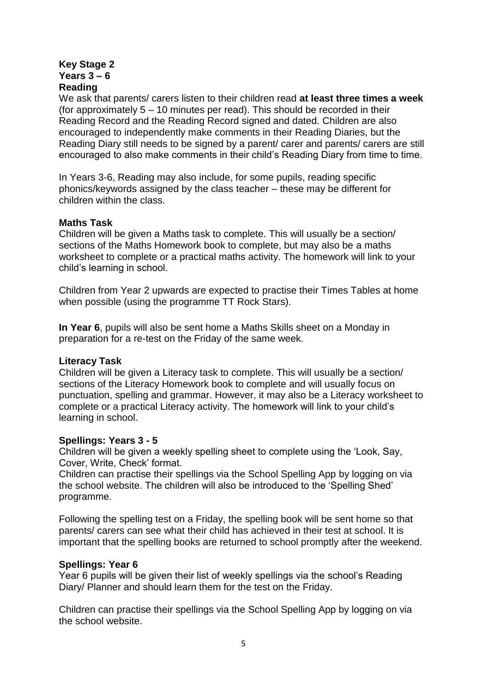### **Key Stage 2 Years 3 – 6 Reading**

We ask that parents/ carers listen to their children read **at least three times a week** (for approximately 5 – 10 minutes per read). This should be recorded in their Reading Record and the Reading Record signed and dated. Children are also encouraged to independently make comments in their Reading Diaries, but the Reading Diary still needs to be signed by a parent/ carer and parents/ carers are still encouraged to also make comments in their child's Reading Diary from time to time.

In Years 3-6, Reading may also include, for some pupils, reading specific phonics/keywords assigned by the class teacher – these may be different for children within the class.

### **Maths Task**

Children will be given a Maths task to complete. This will usually be a section/ sections of the Maths Homework book to complete, but may also be a maths worksheet to complete or a practical maths activity. The homework will link to your child's learning in school.

Children from Year 2 upwards are expected to practise their Times Tables at home when possible (using the programme TT Rock Stars).

**In Year 6**, pupils will also be sent home a Maths Skills sheet on a Monday in preparation for a re-test on the Friday of the same week.

### **Literacy Task**

Children will be given a Literacy task to complete. This will usually be a section/ sections of the Literacy Homework book to complete and will usually focus on punctuation, spelling and grammar. However, it may also be a Literacy worksheet to complete or a practical Literacy activity. The homework will link to your child's learning in school.

### **Spellings: Years 3 - 5**

Children will be given a weekly spelling sheet to complete using the 'Look, Say, Cover, Write, Check' format.

Children can practise their spellings via the School Spelling App by logging on via the school website. The children will also be introduced to the 'Spelling Shed' programme.

Following the spelling test on a Friday, the spelling book will be sent home so that parents/ carers can see what their child has achieved in their test at school. It is important that the spelling books are returned to school promptly after the weekend.

### **Spellings: Year 6**

Year 6 pupils will be given their list of weekly spellings via the school's Reading Diary/ Planner and should learn them for the test on the Friday.

Children can practise their spellings via the School Spelling App by logging on via the school website.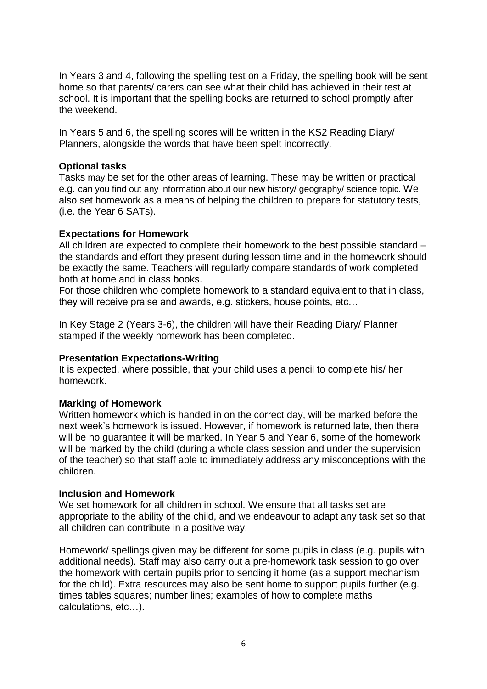In Years 3 and 4, following the spelling test on a Friday, the spelling book will be sent home so that parents/ carers can see what their child has achieved in their test at school. It is important that the spelling books are returned to school promptly after the weekend.

In Years 5 and 6, the spelling scores will be written in the KS2 Reading Diary/ Planners, alongside the words that have been spelt incorrectly.

# **Optional tasks**

Tasks may be set for the other areas of learning. These may be written or practical e.g. can you find out any information about our new history/ geography/ science topic. We also set homework as a means of helping the children to prepare for statutory tests, (i.e. the Year 6 SATs).

### **Expectations for Homework**

All children are expected to complete their homework to the best possible standard – the standards and effort they present during lesson time and in the homework should be exactly the same. Teachers will regularly compare standards of work completed both at home and in class books.

For those children who complete homework to a standard equivalent to that in class, they will receive praise and awards, e.g. stickers, house points, etc…

In Key Stage 2 (Years 3-6), the children will have their Reading Diary/ Planner stamped if the weekly homework has been completed.

### **Presentation Expectations-Writing**

It is expected, where possible, that your child uses a pencil to complete his/ her homework.

### **Marking of Homework**

Written homework which is handed in on the correct day, will be marked before the next week's homework is issued. However, if homework is returned late, then there will be no guarantee it will be marked. In Year 5 and Year 6, some of the homework will be marked by the child (during a whole class session and under the supervision of the teacher) so that staff able to immediately address any misconceptions with the children.

### **Inclusion and Homework**

We set homework for all children in school. We ensure that all tasks set are appropriate to the ability of the child, and we endeavour to adapt any task set so that all children can contribute in a positive way.

Homework/ spellings given may be different for some pupils in class (e.g. pupils with additional needs). Staff may also carry out a pre-homework task session to go over the homework with certain pupils prior to sending it home (as a support mechanism for the child). Extra resources may also be sent home to support pupils further (e.g. times tables squares; number lines; examples of how to complete maths calculations, etc…).